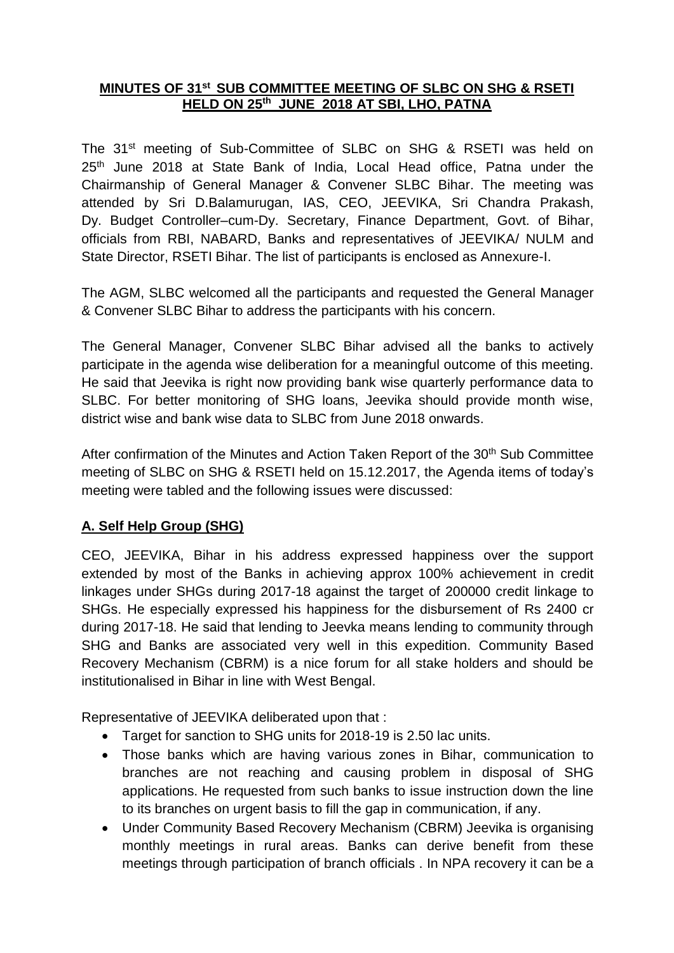### **MINUTES OF 31 st SUB COMMITTEE MEETING OF SLBC ON SHG & RSETI HELD ON 25th JUNE 2018 AT SBI, LHO, PATNA**

The 31<sup>st</sup> meeting of Sub-Committee of SLBC on SHG & RSETI was held on 25<sup>th</sup> June 2018 at State Bank of India, Local Head office, Patna under the Chairmanship of General Manager & Convener SLBC Bihar. The meeting was attended by Sri D.Balamurugan, IAS, CEO, JEEVIKA, Sri Chandra Prakash, Dy. Budget Controller–cum-Dy. Secretary, Finance Department, Govt. of Bihar, officials from RBI, NABARD, Banks and representatives of JEEVIKA/ NULM and State Director, RSETI Bihar. The list of participants is enclosed as Annexure-I.

The AGM, SLBC welcomed all the participants and requested the General Manager & Convener SLBC Bihar to address the participants with his concern.

The General Manager, Convener SLBC Bihar advised all the banks to actively participate in the agenda wise deliberation for a meaningful outcome of this meeting. He said that Jeevika is right now providing bank wise quarterly performance data to SLBC. For better monitoring of SHG loans, Jeevika should provide month wise, district wise and bank wise data to SLBC from June 2018 onwards.

After confirmation of the Minutes and Action Taken Report of the 30<sup>th</sup> Sub Committee meeting of SLBC on SHG & RSETI held on 15.12.2017, the Agenda items of today's meeting were tabled and the following issues were discussed:

## **A. Self Help Group (SHG)**

CEO, JEEVIKA, Bihar in his address expressed happiness over the support extended by most of the Banks in achieving approx 100% achievement in credit linkages under SHGs during 2017-18 against the target of 200000 credit linkage to SHGs. He especially expressed his happiness for the disbursement of Rs 2400 cr during 2017-18. He said that lending to Jeevka means lending to community through SHG and Banks are associated very well in this expedition. Community Based Recovery Mechanism (CBRM) is a nice forum for all stake holders and should be institutionalised in Bihar in line with West Bengal.

Representative of JEEVIKA deliberated upon that :

- Target for sanction to SHG units for 2018-19 is 2.50 lac units.
- Those banks which are having various zones in Bihar, communication to branches are not reaching and causing problem in disposal of SHG applications. He requested from such banks to issue instruction down the line to its branches on urgent basis to fill the gap in communication, if any.
- Under Community Based Recovery Mechanism (CBRM) Jeevika is organising monthly meetings in rural areas. Banks can derive benefit from these meetings through participation of branch officials . In NPA recovery it can be a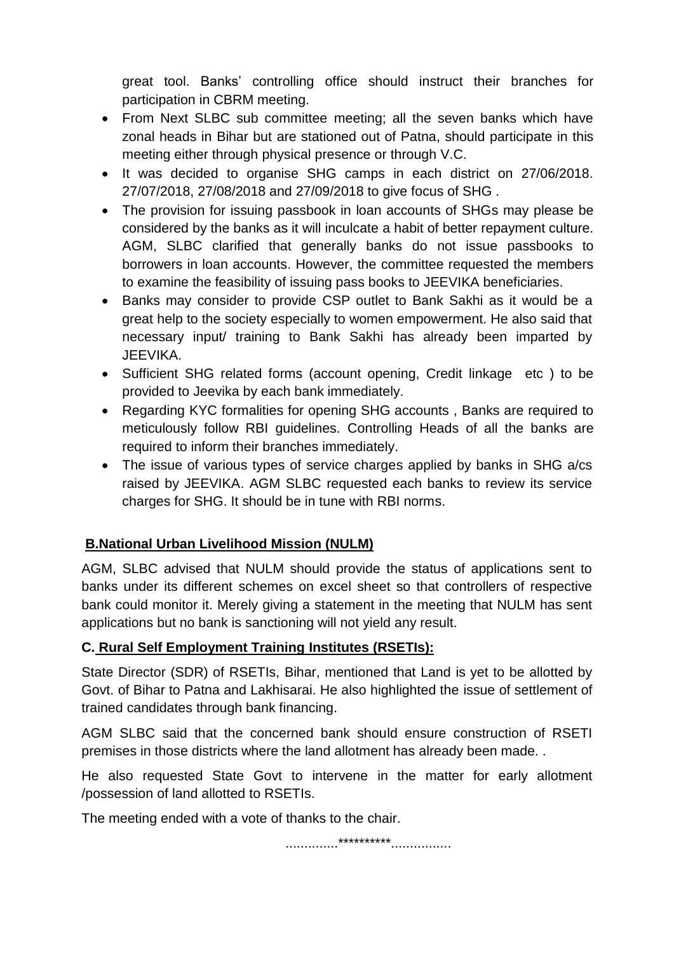great tool. Banks' controlling office should instruct their branches for participation in CBRM meeting.

- From Next SLBC sub committee meeting; all the seven banks which have zonal heads in Bihar but are stationed out of Patna, should participate in this meeting either through physical presence or through V.C.
- It was decided to organise SHG camps in each district on 27/06/2018. 27/07/2018, 27/08/2018 and 27/09/2018 to give focus of SHG .
- The provision for issuing passbook in loan accounts of SHGs may please be considered by the banks as it will inculcate a habit of better repayment culture. AGM, SLBC clarified that generally banks do not issue passbooks to borrowers in loan accounts. However, the committee requested the members to examine the feasibility of issuing pass books to JEEVIKA beneficiaries.
- Banks may consider to provide CSP outlet to Bank Sakhi as it would be a great help to the society especially to women empowerment. He also said that necessary input/ training to Bank Sakhi has already been imparted by JEEVIKA.
- Sufficient SHG related forms (account opening, Credit linkage etc ) to be provided to Jeevika by each bank immediately.
- Regarding KYC formalities for opening SHG accounts, Banks are required to meticulously follow RBI guidelines. Controlling Heads of all the banks are required to inform their branches immediately.
- The issue of various types of service charges applied by banks in SHG a/cs raised by JEEVIKA. AGM SLBC requested each banks to review its service charges for SHG. It should be in tune with RBI norms.

## **B.National Urban Livelihood Mission (NULM)**

AGM, SLBC advised that NULM should provide the status of applications sent to banks under its different schemes on excel sheet so that controllers of respective bank could monitor it. Merely giving a statement in the meeting that NULM has sent applications but no bank is sanctioning will not yield any result.

### **C. Rural Self Employment Training Institutes (RSETIs):**

State Director (SDR) of RSETIs, Bihar, mentioned that Land is yet to be allotted by Govt. of Bihar to Patna and Lakhisarai. He also highlighted the issue of settlement of trained candidates through bank financing.

AGM SLBC said that the concerned bank should ensure construction of RSETI premises in those districts where the land allotment has already been made. .

He also requested State Govt to intervene in the matter for early allotment /possession of land allotted to RSETIs.

The meeting ended with a vote of thanks to the chair.

..............\*\*\*\*\*\*\*\*\*\*................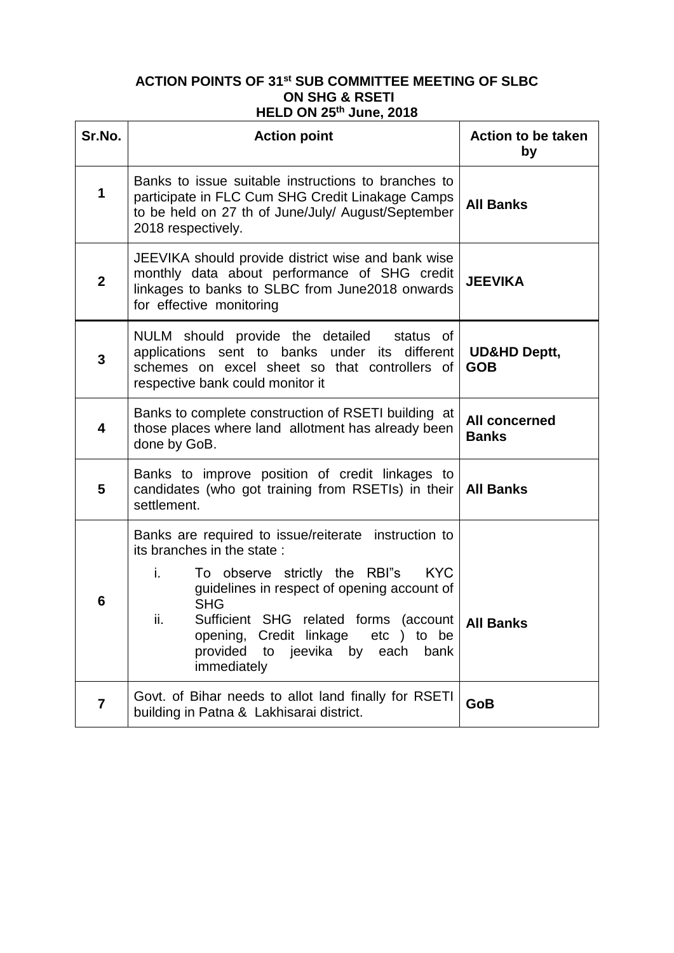#### **ACTION POINTS OF 31st SUB COMMITTEE MEETING OF SLBC ON SHG & RSETI HELD ON 25th June, 2018**

| Sr.No.         | <b>Action point</b>                                                                                                                                                                                                                                                                                                                                                      | <b>Action to be taken</b><br>by       |
|----------------|--------------------------------------------------------------------------------------------------------------------------------------------------------------------------------------------------------------------------------------------------------------------------------------------------------------------------------------------------------------------------|---------------------------------------|
| 1              | Banks to issue suitable instructions to branches to<br>participate in FLC Cum SHG Credit Linakage Camps<br>to be held on 27 th of June/July/ August/September<br>2018 respectively.                                                                                                                                                                                      | <b>All Banks</b>                      |
| $\overline{2}$ | JEEVIKA should provide district wise and bank wise<br>monthly data about performance of SHG credit<br>linkages to banks to SLBC from June2018 onwards<br>for effective monitoring                                                                                                                                                                                        | <b>JEEVIKA</b>                        |
| 3              | NULM should provide the detailed<br>status of<br>applications sent to banks under its<br>different<br>schemes on excel sheet so that controllers of<br>respective bank could monitor it                                                                                                                                                                                  | <b>UD&amp;HD Deptt,</b><br><b>GOB</b> |
| 4              | Banks to complete construction of RSETI building at<br>those places where land allotment has already been<br>done by GoB.                                                                                                                                                                                                                                                | <b>All concerned</b><br><b>Banks</b>  |
| 5              | Banks to improve position of credit linkages to<br>candidates (who got training from RSETIs) in their<br>settlement.                                                                                                                                                                                                                                                     | <b>All Banks</b>                      |
| 6              | Banks are required to issue/reiterate instruction to<br>its branches in the state:<br>i.<br>To observe strictly the RBI"s<br><b>KYC</b><br>guidelines in respect of opening account of<br><b>SHG</b><br>ii.<br>Sufficient SHG related forms<br>$(\text{account}$<br>Credit linkage<br>opening,<br>etc) to be<br>provided<br>jeevika by each<br>bank<br>to<br>immediately | <b>All Banks</b>                      |
| 7              | Govt. of Bihar needs to allot land finally for RSETI<br>building in Patna & Lakhisarai district.                                                                                                                                                                                                                                                                         | <b>GoB</b>                            |